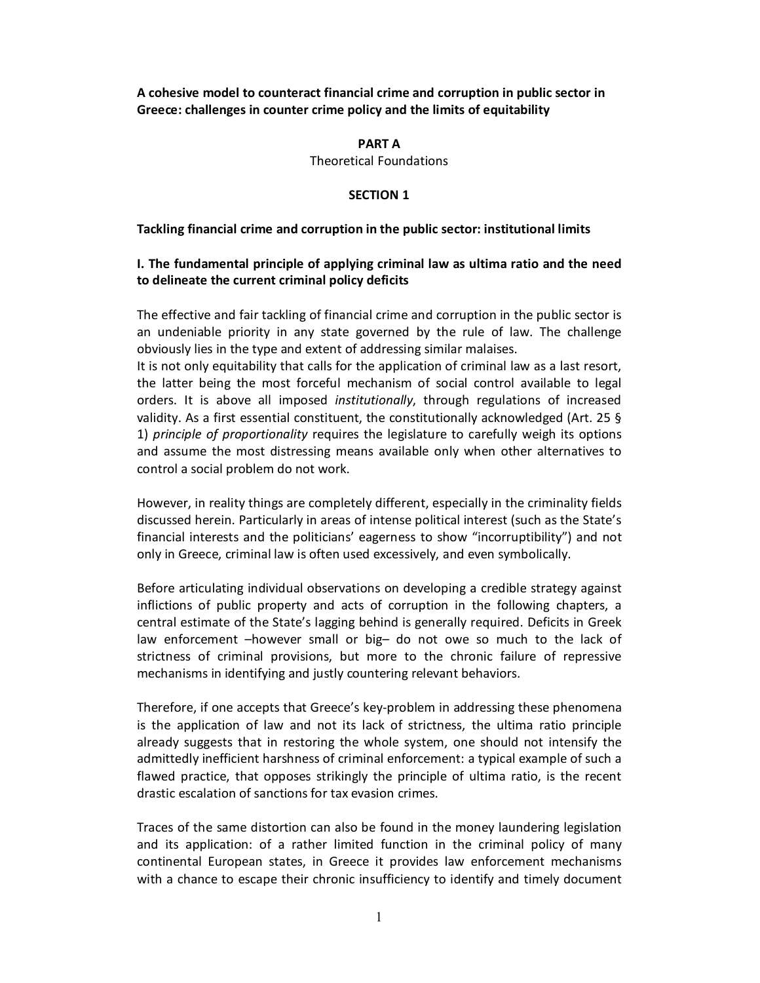**A cohesive model to counteract financial crime and corruption in public sector in Greece: challenges in counter crime policy and the limits of equitability**

#### **PART A**

Theoretical Foundations

#### **SECTION 1**

#### **Tackling financial crime and corruption in the public sector: institutional limits**

# **I. The fundamental principle of applying criminal law as ultima ratio and the need to delineate the current criminal policy deficits**

The effective and fair tackling of financial crime and corruption in the public sector is an undeniable priority in any state governed by the rule of law. The challenge obviously lies in the type and extent of addressing similar malaises.

It is not only equitability that calls for the application of criminal law as a last resort, the latter being the most forceful mechanism of social control available to legal orders. It is above all imposed *institutionally*, through regulations of increased validity. As a first essential constituent, the constitutionally acknowledged (Art. 25 § 1) *principle of proportionality* requires the legislature to carefully weigh its options and assume the most distressing means available only when other alternatives to control a social problem do not work.

However, in reality things are completely different, especially in the criminality fields discussed herein. Particularly in areas of intense political interest (such as the State's financial interests and the politicians' eagerness to show "incorruptibility") and not only in Greece, criminal law is often used excessively, and even symbolically.

Before articulating individual observations on developing a credible strategy against inflictions of public property and acts of corruption in the following chapters, a central estimate of the State's lagging behind is generally required. Deficits in Greek law enforcement –however small or big– do not owe so much to the lack of strictness of criminal provisions, but more to the chronic failure of repressive mechanisms in identifying and justly countering relevant behaviors.

Therefore, if one accepts that Greece's key-problem in addressing these phenomena is the application of law and not its lack of strictness, the ultima ratio principle already suggests that in restoring the whole system, one should not intensify the admittedly inefficient harshness of criminal enforcement: a typical example of such a flawed practice, that opposes strikingly the principle of ultima ratio, is the recent drastic escalation of sanctions for tax evasion crimes.

Traces of the same distortion can also be found in the money laundering legislation and its application: of a rather limited function in the criminal policy of many continental European states, in Greece it provides law enforcement mechanisms with a chance to escape their chronic insufficiency to identify and timely document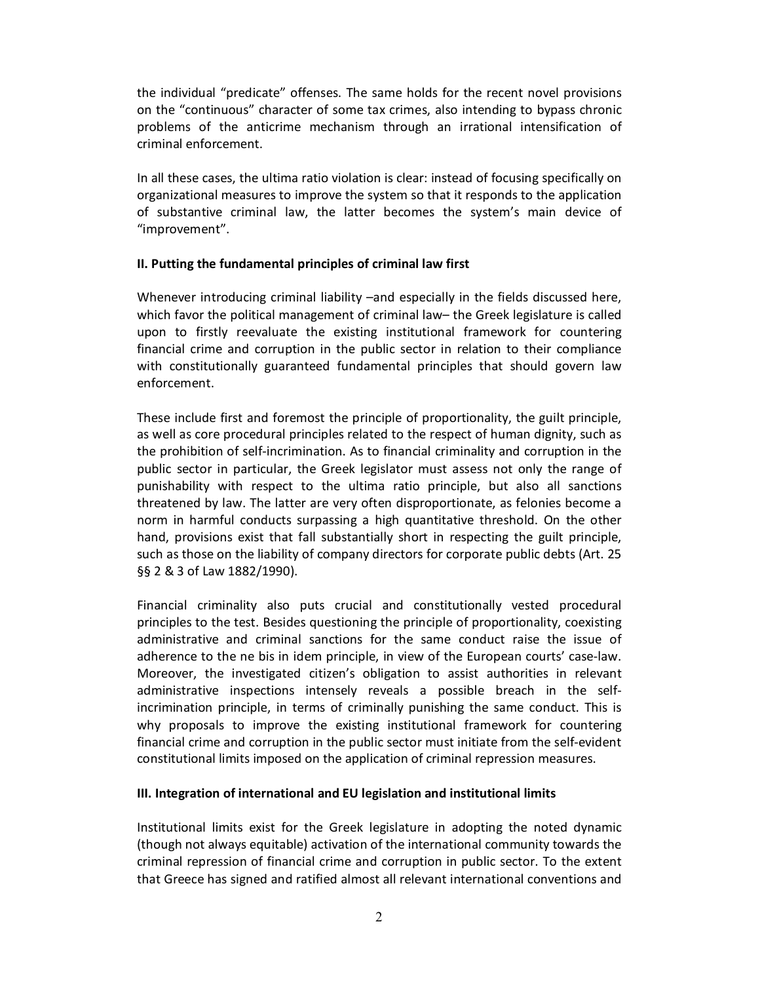the individual "predicate" offenses. The same holds for the recent novel provisions on the "continuous" character of some tax crimes, also intending to bypass chronic problems of the anticrime mechanism through an irrational intensification of criminal enforcement.

In all these cases, the ultima ratio violation is clear: instead of focusing specifically on organizational measures to improve the system so that it responds to the application of substantive criminal law, the latter becomes the system's main device of "improvement".

# **II. Putting the fundamental principles of criminal law first**

Whenever introducing criminal liability –and especially in the fields discussed here, which favor the political management of criminal law– the Greek legislature is called upon to firstly reevaluate the existing institutional framework for countering financial crime and corruption in the public sector in relation to their compliance with constitutionally guaranteed fundamental principles that should govern law enforcement.

These include first and foremost the principle of proportionality, the guilt principle, as well as core procedural principles related to the respect of human dignity, such as the prohibition of self-incrimination. As to financial criminality and corruption in the public sector in particular, the Greek legislator must assess not only the range of punishability with respect to the ultima ratio principle, but also all sanctions threatened by law. The latter are very often disproportionate, as felonies become a norm in harmful conducts surpassing a high quantitative threshold. On the other hand, provisions exist that fall substantially short in respecting the guilt principle, such as those on the liability of company directors for corporate public debts (Art. 25 §§ 2 & 3 of Law 1882/1990).

Financial criminality also puts crucial and constitutionally vested procedural principles to the test. Besides questioning the principle of proportionality, coexisting administrative and criminal sanctions for the same conduct raise the issue of adherence to the ne bis in idem principle, in view of the European courts' case-law. Moreover, the investigated citizen's obligation to assist authorities in relevant administrative inspections intensely reveals a possible breach in the selfincrimination principle, in terms of criminally punishing the same conduct. This is why proposals to improve the existing institutional framework for countering financial crime and corruption in the public sector must initiate from the self-evident constitutional limits imposed on the application of criminal repression measures.

# **III. Integration of international and EU legislation and institutional limits**

Institutional limits exist for the Greek legislature in adopting the noted dynamic (though not always equitable) activation of the international community towards the criminal repression of financial crime and corruption in public sector. To the extent that Greece has signed and ratified almost all relevant international conventions and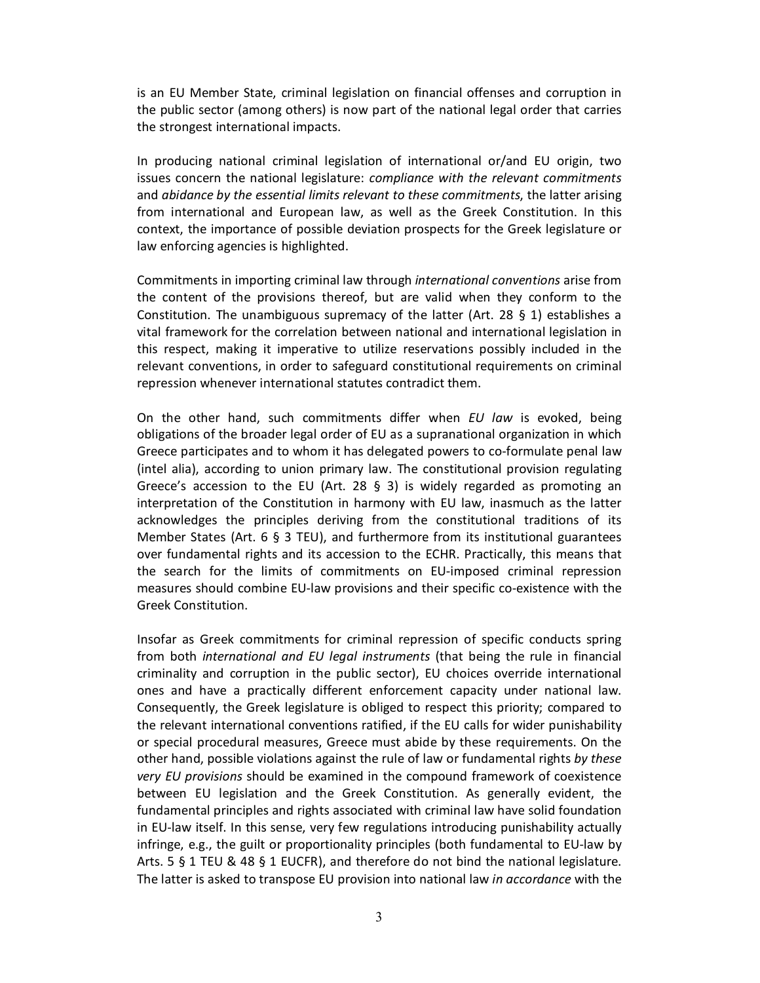is an EU Member State, criminal legislation on financial offenses and corruption in the public sector (among others) is now part of the national legal order that carries the strongest international impacts.

In producing national criminal legislation of international or/and EU origin, two issues concern the national legislature: *compliance with the relevant commitments* and *abidance by the essential limits relevant to these commitments*, the latter arising from international and European law, as well as the Greek Constitution. In this context, the importance of possible deviation prospects for the Greek legislature or law enforcing agencies is highlighted.

Commitments in importing criminal law through *international conventions* arise from the content of the provisions thereof, but are valid when they conform to the Constitution. The unambiguous supremacy of the latter (Art. 28  $\S$  1) establishes a vital framework for the correlation between national and international legislation in this respect, making it imperative to utilize reservations possibly included in the relevant conventions, in order to safeguard constitutional requirements on criminal repression whenever international statutes contradict them.

On the other hand, such commitments differ when *EU law* is evoked, being obligations of the broader legal order of EU as a supranational organization in which Greece participates and to whom it has delegated powers to co-formulate penal law (intel alia), according to union primary law. The constitutional provision regulating Greece's accession to the EU (Art. 28  $\S$  3) is widely regarded as promoting an interpretation of the Constitution in harmony with EU law, inasmuch as the latter acknowledges the principles deriving from the constitutional traditions of its Member States (Art. 6 § 3 TEU), and furthermore from its institutional guarantees over fundamental rights and its accession to the ECHR. Practically, this means that the search for the limits of commitments on EU-imposed criminal repression measures should combine EU-law provisions and their specific co-existence with the Greek Constitution.

Insofar as Greek commitments for criminal repression of specific conducts spring from both *international and EU legal instruments* (that being the rule in financial criminality and corruption in the public sector), EU choices override international ones and have a practically different enforcement capacity under national law. Consequently, the Greek legislature is obliged to respect this priority; compared to the relevant international conventions ratified, if the EU calls for wider punishability or special procedural measures, Greece must abide by these requirements. On the other hand, possible violations against the rule of law or fundamental rights *by these very EU provisions* should be examined in the compound framework of coexistence between EU legislation and the Greek Constitution. As generally evident, the fundamental principles and rights associated with criminal law have solid foundation in EU-law itself. In this sense, very few regulations introducing punishability actually infringe, e.g., the guilt or proportionality principles (both fundamental to EU-law by Arts. 5 § 1 TEU & 48 § 1 EUCFR), and therefore do not bind the national legislature. The latter is asked to transpose EU provision into national law *in accordance* with the